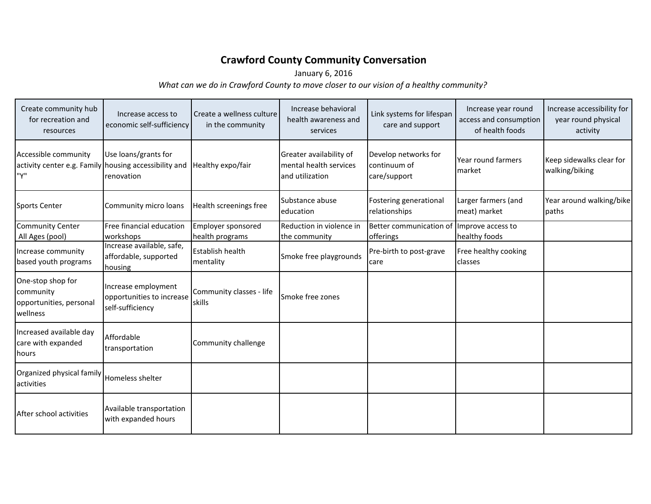## **Crawford County Community Conversation**

January 6, 2016

*What can we do in Crawford County to move closer to our vision of a healthy community?*

| Create community hub<br>for recreation and<br>resources                              | Increase access to<br>economic self-sufficiency                      | Create a wellness culture<br>in the community | Increase behavioral<br>health awareness and<br>services              | Link systems for lifespan<br>care and support        | Increase year round<br>access and consumption<br>of health foods | Increase accessibility for<br>year round physical<br>activity |
|--------------------------------------------------------------------------------------|----------------------------------------------------------------------|-----------------------------------------------|----------------------------------------------------------------------|------------------------------------------------------|------------------------------------------------------------------|---------------------------------------------------------------|
| Accessible community<br>activity center e.g. Family housing accessibility and<br>"Υ" | Use loans/grants for<br>renovation                                   | Healthy expo/fair                             | Greater availability of<br>mental health services<br>and utilization | Develop networks for<br>continuum of<br>care/support | Year round farmers<br>market                                     | Keep sidewalks clear for<br>walking/biking                    |
| Sports Center                                                                        | Community micro loans                                                | Health screenings free                        | Substance abuse<br>education                                         | Fostering generational<br>relationships              | Larger farmers (and<br>meat) market                              | Year around walking/bike<br>paths                             |
| <b>Community Center</b><br>All Ages (pool)                                           | Free financial education<br>workshops                                | Employer sponsored<br>health programs         | Reduction in violence in<br>the community                            | Better communication of<br>offerings                 | Improve access to<br>healthy foods                               |                                                               |
| Increase community<br>based youth programs                                           | Increase available, safe,<br>affordable, supported<br>housing        | Establish health<br>mentality                 | Smoke free playgrounds                                               | Pre-birth to post-grave<br>care                      | Free healthy cooking<br><b>I</b> classes                         |                                                               |
| One-stop shop for<br>community<br>opportunities, personal<br>wellness                | Increase employment<br>opportunities to increase<br>self-sufficiency | Community classes - life<br>skills            | Smoke free zones                                                     |                                                      |                                                                  |                                                               |
| Increased available day<br>care with expanded<br>hours                               | Affordable<br>transportation                                         | Community challenge                           |                                                                      |                                                      |                                                                  |                                                               |
| Organized physical family<br><b>activities</b>                                       | Homeless shelter                                                     |                                               |                                                                      |                                                      |                                                                  |                                                               |
| After school activities                                                              | Available transportation<br>with expanded hours                      |                                               |                                                                      |                                                      |                                                                  |                                                               |